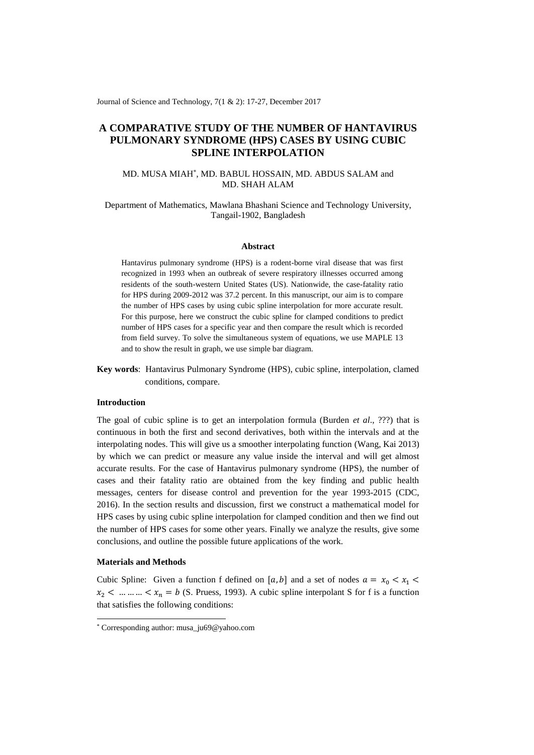Journal of Science and Technology, 7(1 & 2): 17-27, December 2017

# **A COMPARATIVE STUDY OF THE NUMBER OF HANTAVIRUS PULMONARY SYNDROME (HPS) CASES BY USING CUBIC SPLINE INTERPOLATION**

## MD. MUSA MIAH\* , MD. BABUL HOSSAIN, MD. ABDUS SALAM and MD. SHAH ALAM

### Department of Mathematics, Mawlana Bhashani Science and Technology University, Tangail-1902, Bangladesh

#### **Abstract**

Hantavirus pulmonary syndrome (HPS) is a rodent-borne viral disease that was first recognized in 1993 when an outbreak of severe respiratory illnesses occurred among residents of the south-western United States (US). Nationwide, the case-fatality ratio for HPS during 2009-2012 was 37.2 percent. In this manuscript, our aim is to compare the number of HPS cases by using cubic spline interpolation for more accurate result. For this purpose, here we construct the cubic spline for clamped conditions to predict number of HPS cases for a specific year and then compare the result which is recorded from field survey. To solve the simultaneous system of equations, we use MAPLE 13 and to show the result in graph, we use simple bar diagram.

**Key words**: Hantavirus Pulmonary Syndrome (HPS), cubic spline, interpolation, clamed conditions, compare.

#### **Introduction**

The goal of cubic spline is to get an interpolation formula (Burden *et al*., ???) that is continuous in both the first and second derivatives, both within the intervals and at the interpolating nodes. This will give us a smoother interpolating function (Wang, Kai 2013) by which we can predict or measure any value inside the interval and will get almost accurate results. For the case of Hantavirus pulmonary syndrome (HPS), the number of cases and their fatality ratio are obtained from the key finding and public health messages, centers for disease control and prevention for the year 1993-2015 (CDC, 2016). In the section results and discussion, first we construct a mathematical model for HPS cases by using cubic spline interpolation for clamped condition and then we find out the number of HPS cases for some other years. Finally we analyze the results, give some conclusions, and outline the possible future applications of the work.

#### **Materials and Methods**

1

Cubic Spline: Given a function f defined on [a, b] and a set of nodes  $a = x_0 < x_1$  $x_2$  < ... ... ... <  $x_n = b$  (S. Pruess, 1993). A cubic spline interpolant S for f is a function that satisfies the following conditions:

<sup>\*</sup> Corresponding author: musa\_ju69@yahoo.com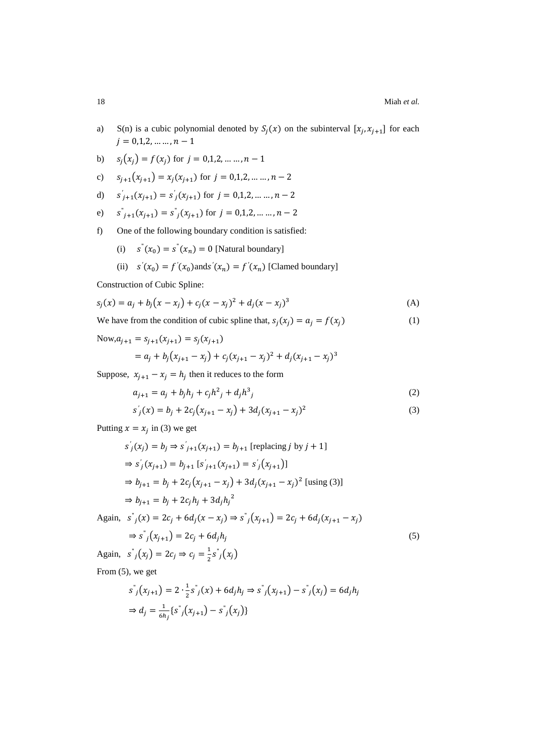- a) S(n) is a cubic polynomial denoted by  $S_j(x)$  on the subinterval  $[x_j, x_{j+1}]$  for each  $j = 0, 1, 2, \dots, n - 1$
- b)  $s_j(x_j) = f(x_j)$  for  $j = 0,1,2, \dots, n 1$
- c)  $s_{i+1}(x_{i+1}) = x_i(x_{i+1})$  for  $j = 0,1,2, \ldots, n-2$
- d)  $s'_{j+1}(x_{j+1}) = s'_{j}(x_{j+1})$  for  $j = 0,1,2,..., n-2$
- e)  $j_{j+1}(x_{j+1}) = s'_{j}(x_{j+1})$  for  $j = 0,1,2,..., n-2$
- f) One of the following boundary condition is satisfied:
	- (i)  $s''(x_0) = s''(x_n) = 0$  [Natural boundary]
	- (ii)  $s'(x_0) = f'(x_0)$  and  $s'(x_n) = f'(x_n)$  [Clamed boundary]

Construction of Cubic Spline:

$$
s_j(x) = a_j + b_j(x - x_j) + c_j(x - x_j)^2 + d_j(x - x_j)^3
$$
 (A)

We have from the condition of cubic spline that,  $s_j(x_j) = a_j = f(x_j)$  (1)

Now, 
$$
a_{j+1} = s_{j+1}(x_{j+1}) = s_j(x_{j+1})
$$
  
=  $a_j + b_j(x_{j+1} - x_j) + c_j(x_{j+1} - x_j)^2 + d_j(x_{j+1} - x_j)^3$ 

Suppose,  $x_{j+1} - x_j = h_j$  then it reduces to the form

$$
a_{j+1} = a_j + b_j h_j + c_j h^2 + d_j h^3
$$
 (2)

$$
s'_{j}(x) = b_{j} + 2c_{j}(x_{j+1} - x_{j}) + 3d_{j}(x_{j+1} - x_{j})^{2}
$$
\n(3)

Putting  $x = x_j$  in (3) we get

$$
s'_{j}(x_{j}) = b_{j} \Rightarrow s'_{j+1}(x_{j+1}) = b_{j+1} \text{ [replacing } j \text{ by } j+1]
$$
  
\n
$$
\Rightarrow s'_{j}(x_{j+1}) = b_{j+1} \text{ [ } s'_{j+1}(x_{j+1}) = s'_{j}(x_{j+1}) \text{]}
$$
  
\n
$$
\Rightarrow b_{j+1} = b_{j} + 2c_{j}(x_{j+1} - x_{j}) + 3d_{j}(x_{j+1} - x_{j})^{2} \text{ [using (3)]}
$$
  
\n
$$
\Rightarrow b_{j+1} = b_{j} + 2c_{j}h_{j} + 3d_{j}h_{j}^{2}
$$
  
\nAgain, 
$$
s''_{j}(x) = 2c_{j} + 6d_{j}(x - x_{j}) \Rightarrow s''_{j}(x_{j+1}) = 2c_{j} + 6d_{j}(x_{j+1} - x_{j})
$$
  
\n
$$
\Rightarrow s''_{j}(x_{j+1}) = 2c_{j} + 6d_{j}h_{j}
$$
  
\n(5)

Again,  $s^{\dagger}_j(x_j) = 2c_j \Rightarrow c_j = \frac{1}{2}$  $\frac{1}{2} s^{\dagger}{}_{j}(x_{j})$ 

From (5), we get

$$
s^{\prime\prime}(x_{j+1}) = 2 \cdot \frac{1}{2} s^{\prime\prime}(x) + 6d_j h_j \Rightarrow s^{\prime\prime}(x_{j+1}) - s^{\prime\prime}(x_j) = 6d_j h_j
$$
  
\n
$$
\Rightarrow d_j = \frac{1}{6h_j} \{s^{\prime\prime}(x_{j+1}) - s^{\prime\prime}(x_j)\}
$$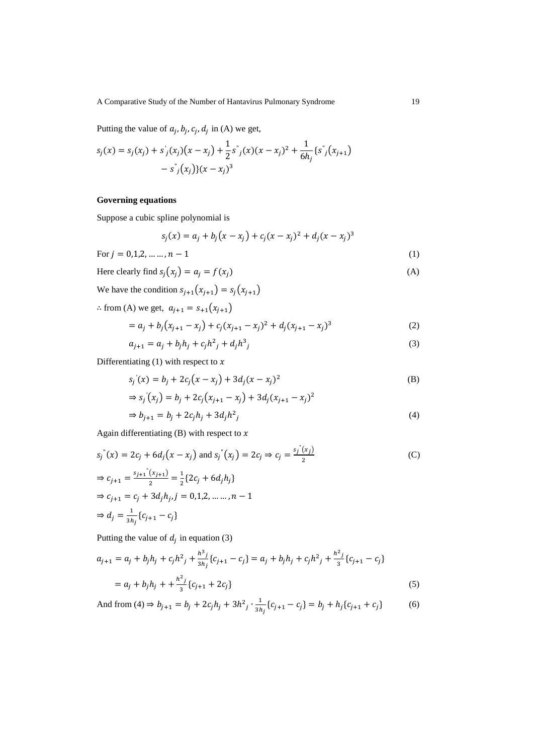A Comparative Study of the Number of Hantavirus Pulmonary Syndrome 19

Putting the value of  $a_j$ ,  $b_j$ ,  $c_j$ ,  $d_j$  in (A) we get,

$$
s_j(x) = s_j(x_j) + s'_j(x_j)(x - x_j) + \frac{1}{2}s^j(x)(x - x_j)^2 + \frac{1}{6h_j}\{s^j(x_{j+1}) - s^j(x_j)\}(x - x_j)^3
$$

## **Governing equations**

Suppose a cubic spline polynomial is

$$
s_j(x) = a_j + b_j(x - x_j) + c_j(x - x_j)^2 + d_j(x - x_j)^3
$$

For 
$$
j = 0, 1, 2, ..., n - 1
$$
 (1)

Here clearly find 
$$
s_j(x_j) = a_j = f(x_j)
$$
 (A)

We have the condition  $s_{j+1}(x_{j+1}) = s_j(x_{j+1})$ 

$$
\therefore \text{ from (A) we get, } a_{j+1} = s_{+1}(x_{j+1})
$$
\n
$$
= a_j + b_j(x_{j+1} - x_j) + c_j(x_{j+1} - x_j)^2 + d_j(x_{j+1} - x_j)^3 \tag{2}
$$

$$
a_{j+1} = a_j + b_j h_j + c_j h^2_j + d_j h^3_j \tag{3}
$$

Differentiating (1) with respect to  $x$ 

$$
s_j'(x) = b_j + 2c_j(x - x_j) + 3d_j(x - x_j)^2
$$
  
\n
$$
\Rightarrow s_j'(x_j) = b_j + 2c_j(x_{j+1} - x_j) + 3d_j(x_{j+1} - x_j)^2
$$
 (B)

$$
\Rightarrow b_{j+1} = b_j + 2c_j h_j + 3d_j h^2_j \tag{4}
$$

Again differentiating (B) with respect to  $x$ 

$$
s_j^{\dagger}(x) = 2c_j + 6d_j(x - x_j) \text{ and } s_j^{\dagger}(x_j) = 2c_j \Rightarrow c_j = \frac{s_j^{\dagger}(x_j)}{2}
$$
  
\n
$$
\Rightarrow c_{j+1} = \frac{s_{j+1}^{\dagger}(x_{j+1})}{2} = \frac{1}{2} \{ 2c_j + 6d_j h_j \}
$$
  
\n
$$
\Rightarrow c_{j+1} = c_j + 3d_j h_j, j = 0, 1, 2, ..., n - 1
$$
  
\n
$$
\Rightarrow d_j = \frac{1}{3h_j} \{ c_{j+1} - c_j \}
$$
 (C)

Putting the value of  $d_j$  in equation (3)

$$
a_{j+1} = a_j + b_j h_j + c_j h^2 + \frac{h^3 j}{3h_j} \{c_{j+1} - c_j\} = a_j + b_j h_j + c_j h^2 + \frac{h^2 j}{3} \{c_{j+1} - c_j\}
$$
  
= 
$$
a_j + b_j h_j + \frac{h^2 j}{3} \{c_{j+1} + 2c_j\}
$$
 (5)

And from (4) 
$$
\Rightarrow
$$
  $b_{j+1} = b_j + 2c_j h_j + 3h^2_j \cdot \frac{1}{3h_j} \{c_{j+1} - c_j\} = b_j + h_j \{c_{j+1} + c_j\}$  (6)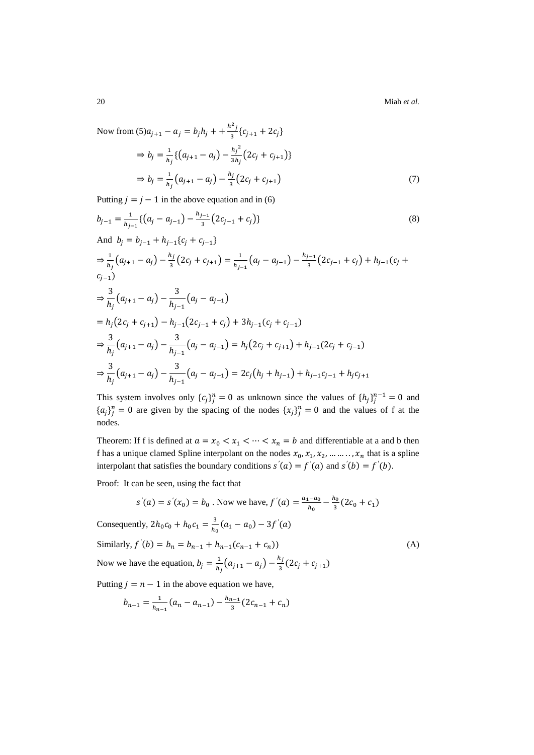20 Miah *et al.*

Now from  $(5)a_{j+1} - a_j = b_j h_j + \frac{h^2 j}{3}$  $\frac{1}{3}$ { $c_{j+1}$  + 2 $c_j$ }

$$
\Rightarrow b_j = \frac{1}{h_j} \{ (a_{j+1} - a_j) - \frac{h_j^2}{3h_j} (2c_j + c_{j+1}) \}
$$
  
\n
$$
\Rightarrow b_j = \frac{1}{h_j} (a_{j+1} - a_j) - \frac{h_j}{3} (2c_j + c_{j+1})
$$
 (7)

Putting  $j = j - 1$  in the above equation and in (6)

$$
b_{j-1} = \frac{1}{h_{j-1}} \{ (a_j - a_{j-1}) - \frac{h_{j-1}}{3} (2c_{j-1} + c_j) \}
$$
\nAnd  $b_j = b_{j-1} + h_{j-1} \{ c_j + c_{j-1} \}$   
\n
$$
\Rightarrow \frac{1}{h_j} (a_{j+1} - a_j) - \frac{h_j}{3} (2c_j + c_{j+1}) = \frac{1}{h_{j-1}} (a_j - a_{j-1}) - \frac{h_{j-1}}{3} (2c_{j-1} + c_j) + h_{j-1} (c_j + c_{j-1})
$$
\n
$$
\Rightarrow \frac{3}{h_j} (a_{j+1} - a_j) - \frac{3}{h_{j-1}} (a_j - a_{j-1})
$$
\n
$$
= h_j (2c_j + c_{j+1}) - h_{j-1} (2c_{j-1} + c_j) + 3h_{j-1} (c_j + c_{j-1})
$$
\n
$$
\Rightarrow \frac{3}{h_j} (a_{j+1} - a_j) - \frac{3}{h_{j-1}} (a_j - a_{j-1}) = h_j (2c_j + c_{j+1}) + h_{j-1} (2c_j + c_{j-1})
$$
\n
$$
\Rightarrow \frac{3}{h_j} (a_{j+1} - a_j) - \frac{3}{h_{j-1}} (a_j - a_{j-1}) = 2c_j (h_j + h_{j-1}) + h_{j-1} c_{j-1} + h_j c_{j+1}
$$
\n(8)

This system involves only  ${c_j}_j^n = 0$  as unknown since the values of  ${h_j}_j^{n-1} = 0$  and  ${a_j}_j^n = 0$  are given by the spacing of the nodes  ${x_j}_j^n = 0$  and the values of f at the nodes.

Theorem: If f is defined at  $a = x_0 < x_1 < \cdots < x_n = b$  and differentiable at a and b then f has a unique clamed Spline interpolant on the nodes  $x_0, x_1, x_2, \dots, x_n$  that is a spline interpolant that satisfies the boundary conditions  $s'(a) = f'(a)$  and  $s'(b) = f'(b)$ .

Proof: It can be seen, using the fact that

$$
s'(a) = s'(x_0) = b_0
$$
. Now we have,  $f'(a) = \frac{a_1 - a_0}{h_0} - \frac{h_0}{3} (2c_0 + c_1)$ 

Consequently,  $2h_0c_0 + h_0c_1 = \frac{3}{h_0}$  $\frac{3}{h_0}(a_1 - a_0) - 3f'(a)$ Similarly,  $f'(b) = b_n = b_{n-1} + h_{n-1}(c_{n-1} + c_n)$  (A)

Now we have the equation,  $b_j = \frac{1}{b_j}$  $\frac{1}{h_j} (a_{j+1} - a_j) - \frac{h_j}{3}$  $\frac{y}{3}(2c_j + c_{j+1})$ 

Putting  $j = n - 1$  in the above equation we have,

$$
b_{n-1} = \frac{1}{h_{n-1}}(a_n - a_{n-1}) - \frac{h_{n-1}}{3}(2c_{n-1} + c_n)
$$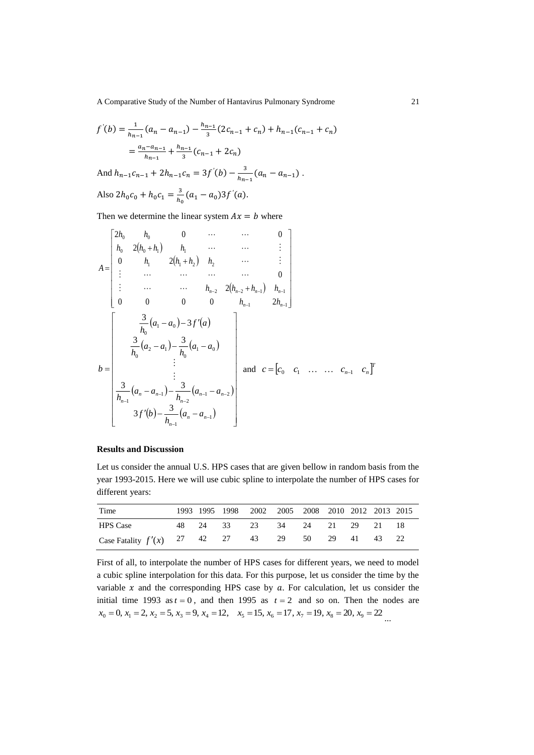A Comparative Study of the Number of Hantavirus Pulmonary Syndrome 21

$$
f'(b) = \frac{1}{h_{n-1}}(a_n - a_{n-1}) - \frac{h_{n-1}}{3}(2c_{n-1} + c_n) + h_{n-1}(c_{n-1} + c_n)
$$
  
=  $\frac{a_n - a_{n-1}}{h_{n-1}} + \frac{h_{n-1}}{3}(c_{n-1} + 2c_n)$   
And  $h_{n-1}c_{n-1} + 2h_{n-1}c_n = 3f'(b) - \frac{3}{h_{n-1}}(a_n - a_{n-1}).$   
Also  $2h_0c_0 + h_0c_1 = \frac{3}{h_0}(a_1 - a_0)3f'(a).$ 

Then we determine the linear system  $Ax = b$  where

$$
A = \begin{bmatrix} 2h_0 & h_0 & 0 & \cdots & \cdots & 0 \\ h_0 & 2(h_0 + h_1) & h_1 & \cdots & \cdots & \vdots \\ 0 & h_1 & 2(h_1 + h_2) & h_2 & \cdots & \vdots \\ \vdots & \cdots & \cdots & \cdots & \cdots & 0 \\ \vdots & \cdots & \cdots & \cdots & h_{n-2} & 2(h_{n-2} + h_{n-1}) & h_{n-1} \\ 0 & 0 & 0 & 0 & h_{n-1} & 2h_{n-1} \end{bmatrix}
$$
  

$$
b = \begin{bmatrix} \frac{3}{h_0}(a_1 - a_0) - 3f'(a) \\ \frac{3}{h_0}(a_2 - a_1) - \frac{3}{h_0}(a_1 - a_0) \\ \vdots \\ \frac{3}{h_{n-1}}(a_n - a_{n-1}) - \frac{3}{h_{n-2}}(a_{n-1} - a_{n-2}) \\ \vdots \\ 3f'(b) - \frac{3}{h_{n-1}}(a_n - a_{n-1}) \end{bmatrix}
$$
 and  $c = [c_0 \ c_1 \ \dots \ c_{n-1} \ c_n]^T$ 

## **Results and Discussion**

Let us consider the annual U.S. HPS cases that are given bellow in random basis from the year 1993-2015. Here we will use cubic spline to interpolate the number of HPS cases for different years:

| Time                                                |  | 1993 1995 1998 2002 2005 2008 2010 2012 2013 2015 |  |  |  |  |
|-----------------------------------------------------|--|---------------------------------------------------|--|--|--|--|
| <b>HPS</b> Case                                     |  | 48  24  33  23  34  24  21  29  21  18            |  |  |  |  |
| Case Fatality $f'(x)$ 27 42 27 43 29 50 29 41 43 22 |  |                                                   |  |  |  |  |

First of all, to interpolate the number of HPS cases for different years, we need to model a cubic spline interpolation for this data. For this purpose, let us consider the time by the variable  $x$  and the corresponding HPS case by  $a$ . For calculation, let us consider the initial time 1993 as  $t = 0$ , and then 1995 as  $t = 2$  and so on. Then the nodes are  $x_0 = 0, x_1 = 2, x_2 = 5, x_3 = 9, x_4 = 12, x_5 = 15, x_6 = 17, x_7 = 19, x_8 = 20, x_9 = 22$ ...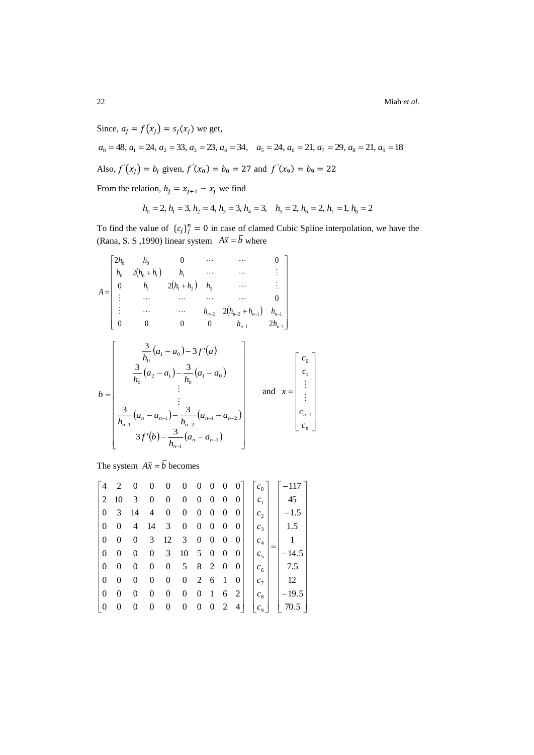22 Miah *et al.*

Since,  $a_i = f(x_i) = s_i(x_i)$  we get.  $a_0 = 48, a_1 = 24, a_2 = 33, a_3 = 23, a_4 = 34, a_5 = 24, a_6 = 21, a_7 = 29, a_8 = 21, a_9 = 18$ Also,  $f'(x_j) = b_j$  given,  $f'(x_0) = b_0 = 27$  and  $f'(x_9) = b_9 = 22$ 

From the relation,  $h_j = x_{j+1} - x_j$  we find

$$
h_0 = 2
$$
,  $h_1 = 3$ ,  $h_2 = 4$ ,  $h_3 = 3$ ,  $h_4 = 3$ ,  $h_5 = 2$ ,  $h_6 = 2$ ,  $h_7 = 1$ ,  $h_8 = 2$ 

To find the value of  $\{c_j\}_j^n = 0$  in case of clamed Cubic Spline interpolation, we have the (Rana, S. S , 1990) linear system  $A\overline{x} = b$  where



The system  $A\overline{x} = b$  becomes

| 4                | 2              | 0  | 0  | 0  | 0  | $\boldsymbol{0}$ | $\boldsymbol{0}$ | 0                | 0        | $c_{0}$        | $-117$  |
|------------------|----------------|----|----|----|----|------------------|------------------|------------------|----------|----------------|---------|
| $\frac{1}{2}$    | 10             | 3  | 0  | 0  | 0  | 0                | 0                | 0                | $\theta$ | c <sub>1</sub> | 45      |
| $\theta$         | 3              | 14 | 4  | 0  | 0  | 0                | 0                | $\boldsymbol{0}$ | 0        | c <sub>2</sub> | $-1.5$  |
| $\theta$         | 0              | 4  | 14 | 3  | 0  | 0                | 0                | 0                | 0        | c <sub>3</sub> | 1.5     |
| $\theta$         | $\overline{0}$ | 0  | 3  | 12 | 3  | $\boldsymbol{0}$ | 0                | 0                | 0        | $c_4$          |         |
| $\theta$         | 0              | 0  | 0  | 3  | 10 | 5                | 0                | 0                | $\theta$ | c <sub>5</sub> | –14.5   |
| $\theta$         | 0              | 0  | 0  | 0  | 5  | 8                | 2                | $\boldsymbol{0}$ | 0        | $c_{6}$        | 7.5     |
| $\theta$         | 0              | 0  | 0  | 0  | 0  | 2                | 6                | 1                | 0        | c <sub>7</sub> | 12      |
| $\theta$         | 0              | 0  | 0  | 0  | 0  | 0                | 1                | 6                | 2        | $c_{8}$        | $-19.5$ |
| $\boldsymbol{0}$ | 0              | 0  | 0  | 0  | 0  | 0                | 0                | 2                | 4        | $c_{9}$        | 70.5    |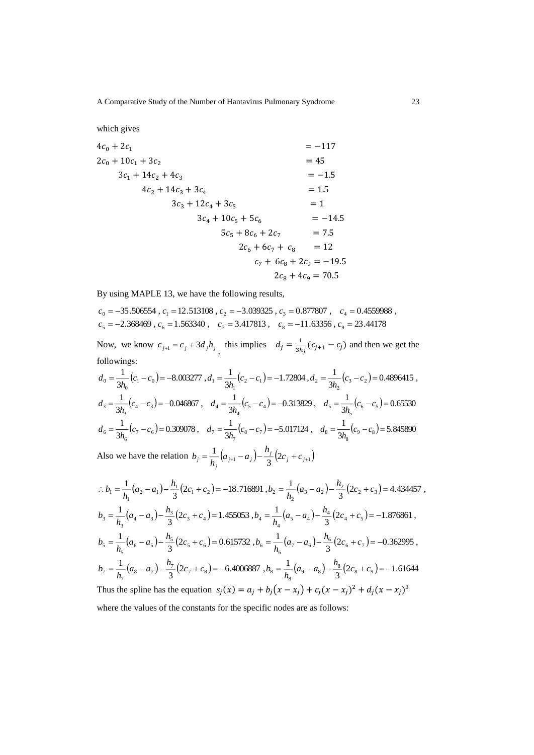which gives

$$
4c_0 + 2c_1 = -117
$$
  
\n
$$
2c_0 + 10c_1 + 3c_2 = 45
$$
  
\n
$$
3c_1 + 14c_2 + 4c_3 = -1.5
$$
  
\n
$$
4c_2 + 14c_3 + 3c_4 = 1.5
$$
  
\n
$$
3c_3 + 12c_4 + 3c_5 = 1
$$
  
\n
$$
3c_4 + 10c_5 + 5c_6 = -14.5
$$
  
\n
$$
5c_5 + 8c_6 + 2c_7 = 7.5
$$
  
\n
$$
2c_6 + 6c_7 + c_8 = 12
$$
  
\n
$$
c_7 + 6c_8 + 2c_9 = -19.5
$$
  
\n
$$
2c_8 + 4c_9 = 70.5
$$

By using MAPLE 13, we have the following results,

2.368469,  $c_6 = 1.563340$ ,  $c_7 = 3.417813$ ,  $c_8 = -11.63356$ ,  $c_9 = 23.44178$ 35.506554 ,  $c_1 = 12.513108$  ,  $c_2 = -3.039325$  ,  $c_3 = 0.877807$  ,  $c_4 = 0.4559988$  ,  $5 - 2.500 + 0.005 + 6.6 - 1.505 + 0.6$ ,  $c_7 - 3.41701$ ,  $c_8 - 11.05550$ ,  $c_9$  $\mathbf{0} = 33.366331, \mathbf{0} = 12.313166, \mathbf{0} = 3.633325, \mathbf{0} = 0.677667, \mathbf{0} = 4$  $= -2.308409$ .  $C_6 = 1.303340$ .  $C_7 = 3.41/013$ .  $C_8 = -11.03330$ .  $C_9 =$  $=$   $-$ 33.300334  $\cdot$   $\epsilon_1$   $=$  12.313108  $\cdot$   $\epsilon_2$   $=$   $-$ 3.039323  $\cdot$   $\epsilon_2$   $=$  0.8/7807  $\cdot$   $\cdot$   $\epsilon_4$   $=$  $c_{\epsilon} = -2.308409$ ,  $c_{\epsilon} = 1.303340$ ,  $c_{\tau} = 3.417813$ ,  $c_{\delta} = -11.03330$ , c  $c_0 = -35.306334$ ,  $c_1 = 12.313108$ ,  $c_2 = -3.039323$ ,  $c_2 = 0.817807$ ,  $c_1$ 

Now, we know  $c_{j+1} = c_j + 3d_j h_j$ , this implies  $d_j = \frac{1}{3h_j}$  $\frac{1}{3h_j}(c_{j+1} - c_j)$  and then we get the followings:

$$
d_0 = \frac{1}{3h_0}(c_1 - c_0) = -8.003277, d_1 = \frac{1}{3h_1}(c_2 - c_1) = -1.72804, d_2 = \frac{1}{3h_2}(c_3 - c_2) = 0.4896415,
$$
  
\n
$$
d_3 = \frac{1}{3h_3}(c_4 - c_3) = -0.046867, d_4 = \frac{1}{3h_4}(c_5 - c_4) = -0.313829, d_5 = \frac{1}{3h_5}(c_6 - c_5) = 0.65530
$$
  
\n
$$
d_6 = \frac{1}{3h_6}(c_7 - c_6) = 0.309078, d_7 = \frac{1}{3h_7}(c_8 - c_7) = -5.017124, d_8 = \frac{1}{3h_8}(c_9 - c_8) = 5.845890
$$

Also we have the relation  $b_j = \frac{1}{h_j} (a_{j+1} - a_j) - \frac{n_j}{3} (2c_j + c_{j+1})$  $b_j = \frac{1}{h_j} (a_{j+1} - a_j) - \frac{h_j}{3} (2c_j + c_{j+1})$ 

$$
\therefore b_1 = \frac{1}{h_1}(a_2 - a_1) - \frac{h_1}{3}(2c_1 + c_2) = -18.716891, b_2 = \frac{1}{h_2}(a_3 - a_2) - \frac{h_2}{3}(2c_2 + c_3) = 4.434457,
$$
  
\n
$$
b_3 = \frac{1}{h_3}(a_4 - a_3) - \frac{h_3}{3}(2c_3 + c_4) = 1.455053, b_4 = \frac{1}{h_4}(a_5 - a_4) - \frac{h_4}{3}(2c_4 + c_5) = -1.876861,
$$
  
\n
$$
b_5 = \frac{1}{h_5}(a_6 - a_5) - \frac{h_5}{3}(2c_5 + c_6) = 0.615732, b_6 = \frac{1}{h_6}(a_7 - a_6) - \frac{h_6}{3}(2c_6 + c_7) = -0.362995,
$$
  
\n
$$
b_7 = \frac{1}{h_7}(a_8 - a_7) - \frac{h_7}{3}(2c_7 + c_8) = -6.4006887, b_8 = \frac{1}{h_8}(a_9 - a_8) - \frac{h_8}{3}(2c_8 + c_9) = -1.61644
$$
  
\nThus the spline has the equation  $s_j(x) = a_j + b_j(x - x_j) + c_j(x - x_j)^2 + d_j(x - x_j)^3$ 

where the values of the constants for the specific nodes are as follows: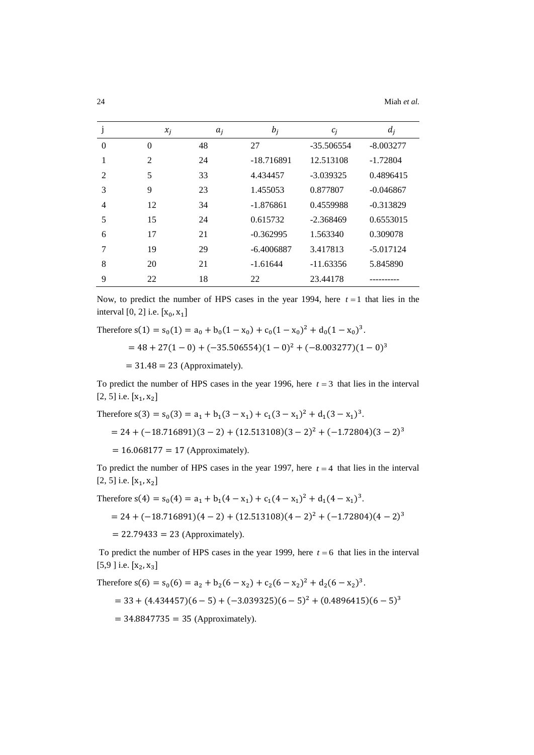|          | $x_i$    | $a_i$ | $b_i$        | $c_i$        | $d_i$       |
|----------|----------|-------|--------------|--------------|-------------|
| $\Omega$ | $\theta$ | 48    | 27           | $-35.506554$ | $-8.003277$ |
|          | 2        | 24    | $-18.716891$ | 12.513108    | $-1.72804$  |
| 2        | 5        | 33    | 4.434457     | $-3.039325$  | 0.4896415   |
| 3        | 9        | 23    | 1.455053     | 0.877807     | $-0.046867$ |
| 4        | 12       | 34    | $-1.876861$  | 0.4559988    | $-0.313829$ |
| 5        | 15       | 24    | 0.615732     | $-2.368469$  | 0.6553015   |
| 6        | 17       | 21    | $-0.362995$  | 1.563340     | 0.309078    |
| 7        | 19       | 29    | $-6.4006887$ | 3.417813     | $-5.017124$ |
| 8        | 20       | 21    | $-1.61644$   | $-11.63356$  | 5.845890    |
| 9        | 22       | 18    | 22           | 23.44178     |             |

Now, to predict the number of HPS cases in the year 1994, here  $t = 1$  that lies in the interval  $[0, 2]$  i.e.  $[x_0, x_1]$ 

Therefore  $s(1) = s_0(1) = a_0 + b_0(1 - x_0) + c_0(1 - x_0)^2 + d_0(1 - x_0)^3$ .  $= 48 + 27(1 - 0) + (-35.506554)(1 - 0)<sup>2</sup> + (-8.003277)(1 - 0)<sup>3</sup>$  $= 31.48 = 23$  (Approximately).

To predict the number of HPS cases in the year 1996, here  $t = 3$  that lies in the interval  $[2, 5]$  i.e.  $[x_1, x_2]$ 

Therefore 
$$
s(3) = s_0(3) = a_1 + b_1(3 - x_1) + c_1(3 - x_1)^2 + d_1(3 - x_1)^3
$$
.  
= 24 + (-18.716891)(3 - 2) + (12.513108)(3 - 2)<sup>2</sup> + (-1.72804)(3 - 2)<sup>3</sup>  
= 16.068177 = 17 (Approximately).

To predict the number of HPS cases in the year 1997, here  $t = 4$  that lies in the interval  $[2, 5]$  i.e.  $[x_1, x_2]$ 

Therefore  $s(4) = s_0(4) = a_1 + b_1(4 - x_1) + c_1(4 - x_1)^2 + d_1(4 - x_1)^3$ .

 $= 24 + (-18.716891)(4-2) + (12.513108)(4-2)^{2} + (-1.72804)(4-2)^{3}$ 

 $= 22.79433 = 23$  (Approximately).

To predict the number of HPS cases in the year 1999, here  $t = 6$  that lies in the interval [5,9] i.e.  $[x_2, x_3]$ 

Therefore 
$$
s(6) = s_0(6) = a_2 + b_2(6 - x_2) + c_2(6 - x_2)^2 + d_2(6 - x_2)^3
$$
.  
= 33 + (4.434457)(6 - 5) + (-3.039325)(6 - 5)<sup>2</sup> + (0.4896415)(6 - 5)<sup>3</sup>  
= 34.8847735 = 35 (Approximately).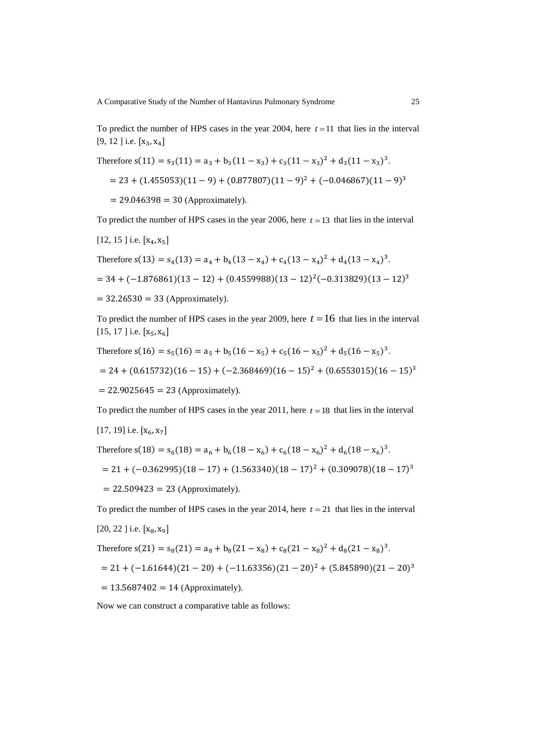To predict the number of HPS cases in the year 2004, here  $t = 11$  that lies in the interval [9, 12 ] i.e.  $[x_3, x_4]$ 

Therefore s(11) = s3(11) = a<sup>3</sup> + b<sup>3</sup> (11 − x<sup>3</sup> )+ c3(11 − x3) <sup>2</sup> + d3(11 − x3) 3 . = 23 + (1.455053)(11 − 9)+ (0.877807)(11 −9) <sup>2</sup> + (−0.046867)(11 −9) 3 = 29.046398 = 30 (Approximately).

To predict the number of HPS cases in the year 2006, here  $t = 13$  that lies in the interval

[12, 15] i.e. 
$$
[x_4, x_5]
$$
  
\nTherefore  $s(13) = s_4(13) = a_4 + b_4(13 - x_4) + c_4(13 - x_4)^2 + d_4(13 - x_4)^3$ .  
\n $= 34 + (-1.876861)(13 - 12) + (0.4559988)(13 - 12)^2(-0.313829)(13 - 12)^3$   
\n $= 32.26530 = 33$  (Approximately).

To predict the number of HPS cases in the year 2009, here  $t = 16$  that lies in the interval [15, 17] i.e.  $[x_5, x_6]$ 

Therefore 
$$
s(16) = s_5(16) = a_5 + b_5(16 - x_5) + c_5(16 - x_5)^2 + d_5(16 - x_5)^3
$$
.

$$
= 24 + (0.615732)(16 - 15) + (-2.368469)(16 - 15)^{2} + (0.6553015)(16 - 15)^{3}
$$

 $= 22.9025645 = 23$  (Approximately).

To predict the number of HPS cases in the year  $2011$ , here  $t = 18$  that lies in the interval

[17, 19] i.e. 
$$
[x_6, x_7]
$$

Therefore 
$$
s(18) = s_6(18) = a_6 + b_6(18 - x_6) + c_6(18 - x_6)^2 + d_6(18 - x_6)^3
$$
.

$$
= 21 + (-0.362995)(18 - 17) + (1.563340)(18 - 17)^{2} + (0.309078)(18 - 17)^{3}
$$

 $= 22.509423 = 23$  (Approximately).

To predict the number of HPS cases in the year 2014, here  $t = 21$  that lies in the interval

$$
[20, 22]
$$
 i.e.  $[x_8, x_9]$ 

Therefore 
$$
s(21) = s_8(21) = a_8 + b_8(21 - x_8) + c_8(21 - x_8)^2 + d_8(21 - x_8)^3
$$
.

$$
= 21 + (-1.61644)(21 - 20) + (-11.63356)(21 - 20)^{2} + (5.845890)(21 - 20)^{3}
$$

$$
= 13.5687402 = 14
$$
 (Approximately).

Now we can construct a comparative table as follows: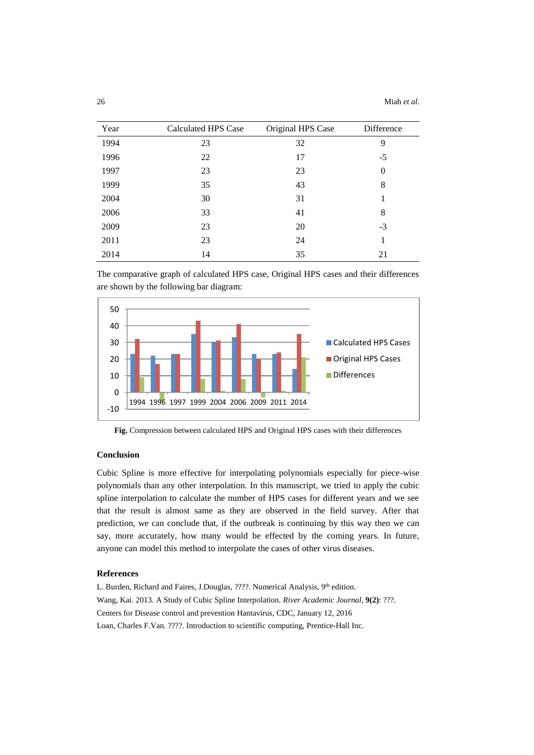| Year | <b>Calculated HPS Case</b> | Original HPS Case | Difference |
|------|----------------------------|-------------------|------------|
| 1994 | 23                         | 32                | 9          |
| 1996 | 22                         | 17                | $-5$       |
| 1997 | 23                         | 23                | $\theta$   |
| 1999 | 35                         | 43                | 8          |
| 2004 | 30                         | 31                |            |
| 2006 | 33                         | 41                | 8          |
| 2009 | 23                         | 20                | $-3$       |
| 2011 | 23                         | 24                |            |
| 2014 | 14                         | 35                | 21         |

The comparative graph of calculated HPS case, Original HPS cases and their differences are shown by the following bar diagram:



**Fig.** Compression between calculated HPS and Original HPS cases with their differences

## **Conclusion**

Cubic Spline is more effective for interpolating polynomials especially for piece-wise polynomials than any other interpolation. In this manuscript, we tried to apply the cubic spline interpolation to calculate the number of HPS cases for different years and we see that the result is almost same as they are observed in the field survey. After that prediction, we can conclude that, if the outbreak is continuing by this way then we can say, more accurately, how many would be effected by the coming years. In future, anyone can model this method to interpolate the cases of other virus diseases.

## **References**

L. Burden, Richard and Faires, J.Douglas, ????. Numerical Analysis, 9th edition. Wang, Kai. 2013. A Study of Cubic Spline Interpolation. *River Academic Journal*, **9(2)**: ???. Centers for Disease control and prevention Hantavirus, CDC, January 12, 2016 Loan, Charles F.Van. ????. Introduction to scientific computing, Prentice-Hall Inc.